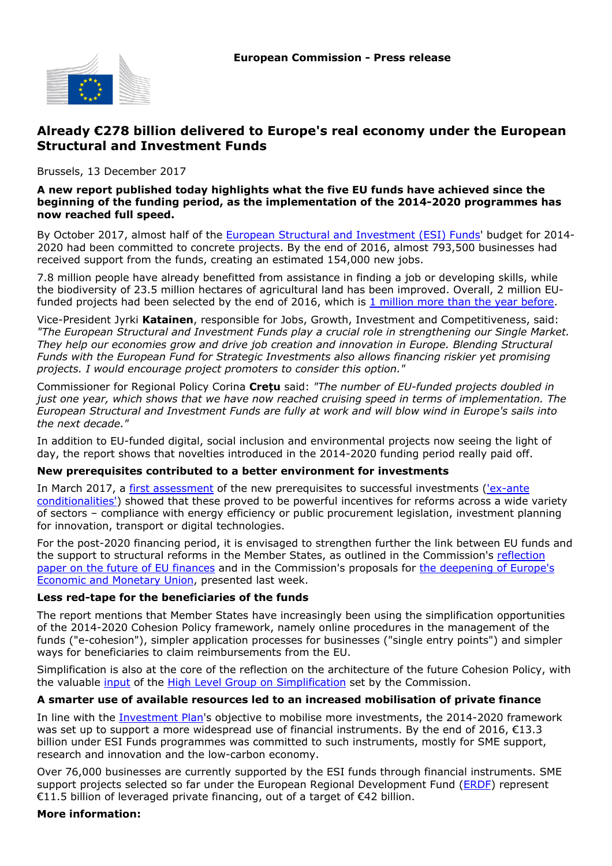

## **Already €278 billion delivered to Europe's real economy under the European Structural and Investment Funds**

Brussels, 13 December 2017

#### **A new report published today highlights what the five EU funds have achieved since the beginning of the funding period, as the implementation of the 2014-2020 programmes has now reached full speed.**

By October 2017, almost half of the [European Structural and Investment \(ESI\) Funds](https://cohesiondata.ec.europa.eu/funds)' budget for 2014- 2020 had been committed to concrete projects. By the end of 2016, almost 793,500 businesses had received support from the funds, creating an estimated 154,000 new jobs.

7.8 million people have already benefitted from assistance in finding a job or developing skills, while the biodiversity of 23.5 million hectares of agricultural land has been improved. Overall, 2 million EUfunded projects had been selected by the end of 2016, which is [1 million more than the year before.](http://europa.eu/rapid/press-release_IP-16-4421_en.htm)

Vice-President Jyrki **Katainen**, responsible for Jobs, Growth, Investment and Competitiveness, said: *"The European Structural and Investment Funds play a crucial role in strengthening our Single Market. They help our economies grow and drive job creation and innovation in Europe. Blending Structural Funds with the European Fund for Strategic Investments also allows financing riskier yet promising projects. I would encourage project promoters to consider this option."*

Commissioner for Regional Policy Corina **Crețu** said: *"The number of EU-funded projects doubled in just one year, which shows that we have now reached cruising speed in terms of implementation. The European Structural and Investment Funds are fully at work and will blow wind in Europe's sails into the next decade."*

In addition to EU-funded digital, social inclusion and environmental projects now seeing the light of day, the report shows that novelties introduced in the 2014-2020 funding period really paid off.

#### **New prerequisites contributed to a better environment for investments**

In March 2017, a [first assessment](http://europa.eu/rapid/press-release_IP-17-781_en.htm) of the new prerequisites to successful investments [\('ex-ante](http://ec.europa.eu/regional_policy/en/policy/what/glossary/e/ex-ante-conditionalities) [conditionalities'\)](http://ec.europa.eu/regional_policy/en/policy/what/glossary/e/ex-ante-conditionalities) showed that these proved to be powerful incentives for reforms across a wide variety of sectors – compliance with energy efficiency or public procurement legislation, investment planning for innovation, transport or digital technologies.

For the post-2020 financing period, it is envisaged to strengthen further the link between EU funds and the support to structural reforms in the Member States, as outlined in the Commission's [reflection](http://europa.eu/rapid/press-release_IP-17-1795_en.htm) [paper on the future of EU finances](http://europa.eu/rapid/press-release_IP-17-1795_en.htm) and in the Commission's proposals for [the deepening of Europe's](http://europa.eu/rapid/press-release_IP-17-5005_en.htm) [Economic and Monetary Union](http://europa.eu/rapid/press-release_IP-17-5005_en.htm), presented last week.

#### **Less red-tape for the beneficiaries of the funds**

The report mentions that Member States have increasingly been using the simplification opportunities of the 2014-2020 Cohesion Policy framework, namely online procedures in the management of the funds ("e-cohesion"), simpler application processes for businesses ("single entry points") and simpler ways for beneficiaries to claim reimbursements from the EU.

Simplification is also at the core of the reflection on the architecture of the future Cohesion Policy, with the valuable [input](http://europa.eu/rapid/press-release_IP-17-1921_en.htm) of the [High Level Group on Simplification](http://ec.europa.eu/regional_policy/fr/policy/how/improving-investment/high-level-group-simplification/) set by the Commission.

#### **A smarter use of available resources led to an increased mobilisation of private finance**

In line with the [Investment Plan](https://ec.europa.eu/commission/priorities/jobs-growth-and-investment/investment-plan-europe-juncker-plan_en)'s objective to mobilise more investments, the 2014-2020 framework was set up to support a more widespread use of financial instruments. By the end of 2016,  $\epsilon$ 13.3 billion under ESI Funds programmes was committed to such instruments, mostly for SME support, research and innovation and the low-carbon economy.

Over 76,000 businesses are currently supported by the ESI funds through financial instruments. SME support projects selected so far under the European Regional Development Fund ([ERDF](https://cohesiondata.ec.europa.eu/funds/erdf)) represent €11.5 billion of leveraged private financing, out of a target of €42 billion.

#### **More information:**